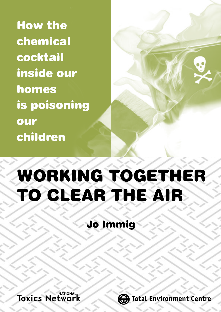How the chemical cocktail inside our homes is poisoning our children

# WORKING TOGETHER TO CLEAR THE AIR

# Jo Immig



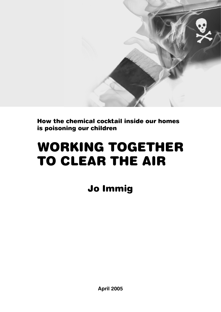

How the chemical cocktail inside our homes is poisoning our children

# WORKING TOGETHER TO CLEAR THE AIR

Jo Immig

**April 2005**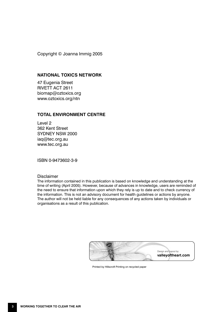Copyright © Joanna Immig 2005

#### **NATIONAL TOXICS NETWORK**

47 Eugenia Street RIVETT ACT 2611 biomap@oztoxics.org www.oztoxics.org/ntn

#### **TOTAL ENVIRONMENT CENTRE**

Level 2 362 Kent Street SYDNEY NSW 2000 iaq@tec.org.au www.tec.org.au

ISBN 0-9473602-3-9

#### Disclaimer

The information contained in this publication is based on knowledge and understanding at the time of writing (April 2005). However, because of advances in knowledge, users are reminded of the need to ensure that information upon which they rely is up to date and to check currency of the information. This is not an advisory document for health guidelines or actions by anyone. The author will not be held liable for any consequences of any actions taken by individuals or organisations as a result of this publication.



Printed by Hillscroft Printing on recycled paper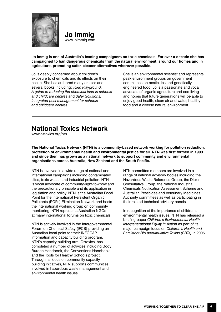

**Jo Immig** www.joimmig.com

**Jo Immig is one of Australia's leading campaigners on toxic chemicals. For over a decade she has campaigned to ban dangerous chemicals from the natural environment, around our homes and in agriculture, promoting safer, cleaner alternatives wherever possible.**

Jo is deeply concerned about children's exposure to chemicals and its effects on their health. She has authored many articles and several books including: *Toxic Playground: A guide to reducing the chemical load in schools and childcare centres* and *Safer Solutions: Integrated pest management for schools and childcare centres.* 

She is an environmental scientist and represents peak environment groups on government committees on pesticides and genetically engineered food. Jo is a passionate and vocal advocate of organic agriculture and eco-living and hopes that future generations will be able to enjoy good health, clean air and water, healthy food and a diverse natural environment.

# **National Toxics Network**

www.oztoxics.org/ntn

**The National Toxics Network (NTN) is a community-based network working for pollution reduction, protection of environmental health and environmental justice for all. NTN was first formed in 1993 and since then has grown as a national network to support community and environmental organisations across Australia, New Zealand and the South Pacific.** 

NTN is involved in a wide range of national and international campaigns including contaminated sites, toxic waste, and industrial pollution. NTN is vocal advocate of community-right-to-know and the precautionary principle and its application in legislation and policy. NTN is the Australian Focal Point for the International Persistent Organic Pollutants (POPs) Elimination Network and hosts the international working group on community monitoring. NTN represents Australian NGOs at many international forums on toxic chemicals.

NTN is actively involved in the Intergovernmental Forum on Chemical Safety (IFCS) providing an Australian focal point for their INFOCAP information and capacity building program. NTN's capacity building arm, Oztoxics, has completed a number of activities including Body Burden Handbook, the Conventions Handbook and the Tools for Healthy Schools project. Through its focus on community capacity building initiatives, NTN supports communities involved in hazardous waste management and environmental health issues.

NTN committee members are involved in a range of national advisory bodies including the Hazardous Waste Reference Group, the Dioxin Consultative Group, the National Industrial Chemicals Notification Assessment Scheme and Australian Pesticides and Veterinary Medicines Authority committees as well as participating in their related technical advisory panels.

In recognition of the importance of children's environmental health issues, NTN has released a briefing paper *Children's Environmental Health – Intergenerational Equity in Action* as part of its major campaign focus on *Children's Health and Persistent Bio-accumulative Toxins (PBTs)* in 2005.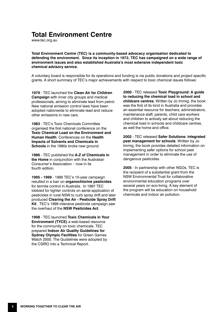# **Total Environment Centre**

www.tec.org.au

**Total Environment Centre (TEC) is a community-based advocacy organisation dedicated to defending the environment. Since its inception in 1972, TEC has campaigned on a wide range of environment issues and also established Australia's most extensive independent toxic chemical advisory service.** 

A voluntary board is responsible for its operations and funding is via public donations and project specific grants. A short summary of TEC's major achievements with respect to toxic chemical issues follows:

**1979** - TEC launched the **Clean Air for Children Campaign** with inner city groups and medical professionals, aiming to eliminate lead from petrol. New national emission control laws have been adopted nationwide to eliminate lead and reduce other emissions in new cars.

**1983** - TEC's Toxic Chemicals Committee organised the first national conference on the **Toxic Chemical Load on the Environment and Human Health**. Conferences on the **Health Impacts of Solvents and Chemicals in Schools** in the 1990s broke new ground.

**1986** - TEC published the **A-Z of Chemicals in the Home** in conjunction with the Australian Consumer's Association – now in its fourth edition.

**1995 - 1999** - 1995 TEC's 10-year campaign resulted in a ban on **organochlorine pesticides** for termite control in Australia. In 1997 TEC lobbied for tighter controls on aerial application of pesticides in rural NSW to curb spray drift and later produced **Clearing the Air - Pesticide Spray Drift Kit**. TEC's 1999 intensive pesticide campaign saw the overhaul of the **NSW Pesticides Act**.

**1998** - TEC launched **Toxic Chemicals in Your Environment (TYCE)** a web-based resource for the community on toxic chemicals. TEC prepared **Indoor Air Quality Guidelines for Sydney Olympic Facilities** for Green Games Watch 2000. The Guidelines were adopted by the CSIRO into a Technical Report.

**2000** - TEC released **Toxic Playground: A guide to reducing the chemical load in school and childcare centres**. Written by Jo Immig, the book was the first of its kind in Australia and provides an essential resource for teachers, administrators, maintenance staff, parents, child care workers and children to actively set about reducing the chemical load in schools and childcare centres, as well the home and office.

**2002** - TEC released **Safer Solutions: integrated pest management for schools**. Written by Jo Immig, the book provides detailed information on implementing safer options for school pest management in order to eliminate the use of dangerous pesticides.

**2005** - In partnership with other NGOs, TEC is the recipient of a substantial grant from the NSW Environmental Trust for collaborative environmental education programs over several years on eco-living. A key element of the program will be education on household chemicals and indoor air pollution.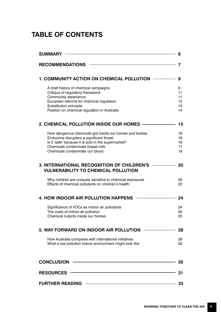# **TABLE OF CONTENTS**

|                                                                                                                                                                                                                                     | 9                               |
|-------------------------------------------------------------------------------------------------------------------------------------------------------------------------------------------------------------------------------------|---------------------------------|
| A brief history of chemical campaigns<br>Critique of regulatory framework<br>Community experience<br>European reforms for chemical regulation<br>Substitution principle<br>Position on chemical regulation in Australia             | 9<br>11<br>11<br>12<br>13<br>14 |
| 2. CHEMICAL POLLUTION INSIDE OUR HOMES                                                                                                                                                                                              | 15                              |
| How dangerous chemicals got inside our homes and bodies<br>Endocrine disrupters a significant threat<br>Is it 'safe' because it is sold in the supermarket?<br>Chemicals contaminate breast milk<br>Chemicals contaminate our blood | 16<br>16<br>16<br>17<br>18      |
| <b>3. INTERNATIONAL RECOGNITION OF CHILDREN'S</b><br><b>VULNERABILITY TO CHEMICAL POLLUTION</b>                                                                                                                                     |                                 |
| Why children are uniquely sensitive to chemical exposures<br>Effects of chemical pollutants on children's health                                                                                                                    |                                 |
| <b>4. HOW INDOOR AIR POLLUTION HAPPENS</b>                                                                                                                                                                                          |                                 |
| Significance of VOCs as indoor air pollutants<br>The costs of indoor air pollution<br>Chemical culprits inside our homes                                                                                                            | 24<br>25<br>25                  |
| 5. WAY FORWARD ON INDOOR AIR POLLUTION                                                                                                                                                                                              |                                 |
| How Australia compares with international initiatives<br>What a low pollution indoor environment might look like                                                                                                                    |                                 |
| <b>CONCLUSION</b>                                                                                                                                                                                                                   |                                 |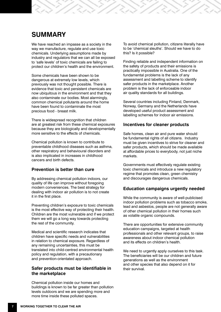# **SUMMARY**

We have reached an impasse as a society in the way we manufacture, regulate and use toxic chemicals. Underlying assumptions made by industry and regulators that we can all be exposed to 'safe levels' of toxic chemicals are failing to protect our children's health and the environment.

Some chemicals have been shown to be dangerous at extremely low levels, which previously was not thought possible. There is evidence that toxic and persistent chemicals are now ubiquitous in the environment and that they also contaminate our bodies. Most alarmingly, common chemical pollutants around the home have been found to contaminate the most precious food - breast milk.

There is widespread recognition that children are at greatest risk from these chemical exposures because they are biologically and developmentally more sensitive to the effects of chemicals.

Chemical pollution is known to contribute to preventable childhood diseases such as asthma, other respiratory and behavioural disorders and is also implicated in increases in childhood cancers and birth defects.

#### **Prevention is better than cure**

By addressing chemical pollution indoors, our quality of life can improve without foregoing modern conveniences. The best strategy for dealing with indoor air pollution is to not create it in the first place.

Preventing children's exposure to toxic chemicals is the most effective way of protecting their health. Children are the most vulnerable and if we protect them we will go a long way towards protecting the rest of the community.

Medical and scientific research indicates that children have specific needs and vulnerabilities in relation to chemical exposure. Regardless of any remaining uncertainties, this must be translated into child-centred environmental health policy and regulation, with a precautionary and prevention-orientated approach.

## **Safer products must be identifiable in the marketplace**

Chemical pollution inside our homes and buildings is known to be far greater than pollution levels outdoors and we are spending more and more time inside these polluted spaces.

To avoid chemical pollution, citizens literally have to be 'chemical sleuths'. Should we have to do this? Is it possible?

Finding reliable and independent information on the safety of products and their emissions is practically impossible in Australia. One of the fundamental problems is the lack of any assessment and labelling scheme to identify safer products in the marketplace. Another problem is the lack of enforceable indoor air quality standards for all buildings.

Several countries including Finland, Denmark, Norway, Germany and the Netherlands have developed useful product assessment and labelling schemes for indoor air emissions.

#### **Incentives for cleaner products**

Safe homes, clean air and pure water should be fundamental rights of all citizens. Industry must be given incentives to strive for cleaner and safer products, which should be made available at affordable prices to everybody, not just niche markets.

Governments must effectively regulate existing toxic chemicals and introduce a new regulatory regime that promotes clean, green chemistry and discourages dangerous chemicals.

#### **Education campaigns urgently needed**

While the community is aware of well-publicised indoor pollution problems such as tobacco smoke, lead and asbestos, people are not generally aware of other chemical pollution in their homes such as volatile organic compounds.

There are opportunities for extensive community education campaigns, targeted at health professionals and other relevant groups, to raise awareness about indoor chemical pollution and its effects on children's health.

We need to urgently apply ourselves to this task. The beneficiaries will be our children and future generations as well as the environment and other species that also depend on it for their survival.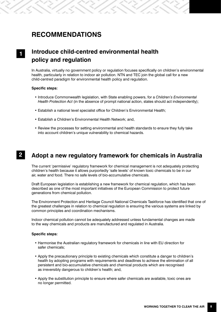# **RECOMMENDATIONS**

# **Introduce child-centred environmental health policy and regulation**

In Australia, virtually no government policy or regulation focuses specifically on children's environmental health, particularly in relation to indoor air pollution. NTN and TEC join the global call for a new child-centred paradigm for environmental health policy and regulation.

#### **Specific steps:**

**1**

- Introduce Commonwealth legislation, with State enabling powers, for a *Children's Environmental Health Protection Act* (in the absence of prompt national action, states should act independently);
- Establish a national level specialist office for Children's Environmental Health;
- Establish a Children's Environmental Health Network; and,
- Review the processes for setting environmental and health standards to ensure they fully take into account children's unique vulnerability to chemical hazards.

#### **Adopt a new regulatory framework for chemicals in Australia 2**

The current 'permissive' regulatory framework for chemical management is not adequately protecting children's health because it allows purportedly 'safe levels' of known toxic chemicals to be in our air, water and food. There no safe levels of bio-accumulative chemicals.

Draft European legislation is establishing a new framework for chemical regulation, which has been described as one of the most important initiatives of the European Commission to protect future generations from chemical pollution.

The Environment Protection and Heritage Council National Chemicals Taskforce has identified that one of the greatest challenges in relation to chemical regulation is ensuring the various systems are linked by common principles and coordination mechanisms.

Indoor chemical pollution cannot be adequately addressed unless fundamental changes are made to the way chemicals and products are manufactured and regulated in Australia.

#### **Specific steps:**

- Harmonise the Australian regulatory framework for chemicals in line with EU direction for safer chemicals;
- Apply the precautionary principle to existing chemicals which constitute a danger to children's health by adopting programs with requirements and deadlines to achieve the elimination of all persistent and bio-accumulative chemicals and chemical products which are recognised as irreversibly dangerous to children's health; and,
- Apply the substitution principle to ensure where safer chemicals are available, toxic ones are no longer permitted.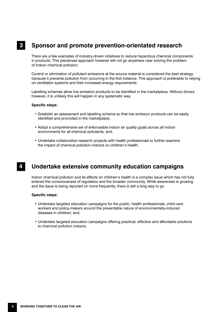#### **Sponsor and promote prevention-orientated research 3**

There are a few examples of industry-driven initiatives to reduce hazardous chemical components in products. This piecemeal approach however will not go anywhere near solving the problem of indoor chemical pollution.

Control or elimination of pollutant emissions at the source material is considered the best strategy because it prevents pollution from occurring in the first instance. This approach is preferable to relying on ventilation systems and their increased energy requirements.

Labelling schemes allow low emission products to be identified in the marketplace. Without drivers however, it is unlikely this will happen in any systematic way.

#### **Specific steps:**

- Establish an assessment and labelling scheme so that low emission products can be easily identified and promoted in the marketplace;
- Adopt a comprehensive set of enforceable indoor air quality goals across all indoor environments for all chemical pollutants; and,
- Undertake collaborative research projects with health professionals to further examine the impact of chemical pollution indoors on children's health.

#### **Undertake extensive community education campaigns 4**

Indoor chemical pollution and its effects on children's health is a complex issue which has not fully entered the consciousness of regulators and the broader community. While awareness is growing and the issue is being reported on more frequently, there is still a long way to go.

#### **Specific steps:**

- Undertake targeted education campaigns for the public, health professionals, child-care workers and policy-makers around the preventable nature of environmentally-induced diseases in children; and,
- Undertake targeted education campaigns offering practical, effective and affordable solutions to chemical pollution indoors.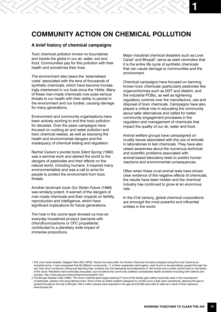# **COMMUNITY ACTION ON CHEMICAL POLLUTION**

#### **A brief history of chemical campaigns**

Toxic chemical pollution knows no boundaries and travels the globe in our air, water, soil and food. Communities pay for this pollution with their health and sometimes their lives.

The environment also bears the 'externalised costs' associated with the tens of thousands of synthetic chemicals, which have become increasingly intertwined in our lives since the 1940s. Many of these man-made chemicals now pose serious threats to our health with their ability to persist in the environment and our bodies, causing damage for many generations.

Environment and community organisations have been actively working to end this toxic pollution for decades. Over the years campaigns have focused on curbing air and water pollution and toxic chemical wastes, as well as exposing the health and environmental dangers and the inadequacy of chemical testing and regulation.

Rachel Carson's pivotal book *Silent Spring* (1962) was a seminal work and alerted the world to the dangers of pesticides and their effects on the natural world, including humans. It inspired many environmentalists and was a call to arms for people to protect the environment from toxic threats.

Another landmark book *Our Stolen Future* (1996) was similarly potent. It warned of the dangers of man-made chemicals and their impacts on fertility, reproduction and intelligence, which have significant implications for future generations.

The hole in the ozone layer showed us how an everyday household product (aerosols with chlorofluorocarbons or CFC propellants) contributed to a planetary wide impact of immense proportions.

Major industrial chemical disasters such as Love Canal<sup>1</sup> and Bhopal<sup>2</sup>, serve as stark reminders that it is the entire life cycle of synthetic chemicals that can cause damage to communities and the environment.

Chemical campaigns have focused on banning known toxic chemicals (particularly pesticides like organochlorines such as DDT and dieldrin, and the industrial PCBs), as well as tightening regulatory controls over the manufacture, use and disposal of toxic chemicals. Campaigns have also played a critical role in educating the community about safer alternatives and called for better community engagement processes in the regulation and management of chemicals that impact the quality of our air, water and food.

Animal welfare groups have campaigned on cruelty issues associated with the use of animals in laboratories to test chemicals. They have also raised awareness about the numerous technical and scientific problems associated with animal-based laboratory tests to predict human reactions and environmental consequences.

Often when these cruel animal tests have shown clear evidence of the negative effects of chemicals, the results have been hidden and the chemical industry has continued to grow at an enormous rate.

In the 21st century, global chemical corporations are amongst the most powerful and influential entities in the world.

<sup>1</sup> The Love Canal disaster, Niagara Falls USA (1978): Twenty five years after the Hooker Chemical Company stopped using the Love Canal as an industrial dump, it was recognised that 82 different compounds, 11 of them suspected carcinogens, were found to be percolating upward through the soil, their drum containers rotting and leaching their contents into the backyards and basements of 100 homes and a public school built on the banks of the canal. Residents were eventually evacuated, but not before the community suffered considerable health problems including birth defects and cancers. http://www.epa.gov/history/topics/lovecanal/01.htm

<sup>2</sup> The Bhopal disaster India (1984): The Union Carbide plant began leaking 27 tons of the deadly gas methyl isocynate used in the manufacture of pesticides, plastics and polyurethane foam. None of the six safety systems designed to contain such a leak were operational, allowing the gas to spread throughout the city of Bhopal. Half a million people were exposed to the gas and 20,000 have died to date as a result of their exposure. www.bhopal.net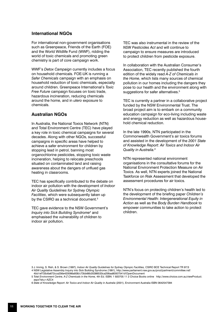#### **International NGOs**

For international non-government organisations such as Greenpeace, Friends of the Earth (FOE) and the World Wildlife Fund (WWF), ridding the world of toxic chemicals and promoting green chemistry is part of core campaign work.

WWF's *Detox Campaign* currently includes a focus on household chemicals. FOE-UK is running a *Safer Chemicals* campaign with an emphasis on household reduction of toxic chemicals, especially around children. Greenpeace International's *Toxic Free Future* campaign focuses on toxic trade, hazardous incineration, reducing chemicals around the home, and in *utero* exposure to chemicals.

## **Australian NGOs**

In Australia, the National Toxics Network (NTN) and Total Environment Centre (TEC) have played a key role in toxic chemical campaigns for several decades. Along with other NGOs, successful campaigns in specific areas have helped to achieve a safer environment for children by stopping lead in petrol, banning most organochlorine pesticides, stopping toxic waste incineration, helping to relocate preschools situated on contaminated land and raising awareness about the dangers of unflued gas heating in classrooms.

TEC has specifically contributed to the debate on indoor air pollution with the development of *Indoor Air Quality Guidelines for Sydney Olympic Facilities*, which were subsequently taken up by the CSIRO as a technical document.3

TEC gave evidence to the NSW Government's *Inquiry into Sick Building Syndrome4* and emphasised the vulnerability of children to indoor air pollution.

TEC was also instrumental in the review of the *NSW Pesticides Act* and will continue to campaign to ensure measures are introduced to protect children from pesticide exposure.

In collaboration with the Australian Consumer's Association, TEC recently published the fourth edition of the widely read *A-Z of Chemicals in the Home*, which lists many sources of chemical pollution in our homes including the dangers they pose to our health and the environment along with suggestions for safer alternatives.<sup>5</sup>

TEC is currently a partner in a collaborative project funded by the NSW Environmental Trust. The broad project aim is to embark on a community education campaign for eco-living including waste and energy reduction as well as hazardous household chemical reduction.

In the late 1990s, NTN participated in the Commonwealth Government's air toxics forums and assisted in the development of the *2001 State of Knowledge Report: Air Toxics and Indoor Air Quality in Australia.6*

NTN represented national environment organisations in the consultative forums for the National Environment Protection Measure on Air Toxics. As well, NTN experts joined the National Taskforce on Risk Assessment that developed the assessment procedures for air toxics.

NTN's focus on protecting children's health led to the development of the briefing paper *Children's Environmental Health: Intergenerational Equity in Action* as well as the *Body Burden Handbook* to empower communities to take action to protect children.

<sup>3</sup> J. Immig, S. Rish, & S. Brown (1997), *Indoor Air Quality Guidelines for Sydney Olympic Facilities,* CSIRO BCE Technical Report TR 97/3 4 NSW Legislative Assembly Inquiry into Sick Building Syndrome (1991), http://www.parliament.nsw.gov.au/prod/parlment/committee.nsf/

<sup>4</sup>bb1ef733c6a672cca256e420066a938/c73bb66b35386533ca256aa80007541d!OpenDocument

<sup>5</sup> *Total Environment Centre, A-Z Chemicals in the Home,* 4th Ed. ISBN: 1 920705 11 2 Choice Books online http://www.choice.com.au/viewProduct. aspx?sku=AZC4

<sup>6</sup> *State of Knowledge Report: Air Toxics and Indoor Air Quality in Australia* (2001), Environment Australia ISBN 0642547394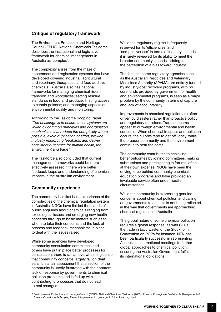## **Critique of regulatory framework**

The Environment Protection and Heritage Council (EPHC) National Chemicals Taskforce describes the institutional and legislative framework for chemical management in Australia as 'complex'.

The complexity arises from the maze of assessment and registration systems that have developed covering industrial, agricultural and veterinary, therapeutic and food additive chemicals. Australia also has national frameworks for managing chemical risks in transport and workplaces; setting residue standards in food and produce; limiting access to certain poisons; and managing aspects of environmental quality and monitoring.

According to the Taskforce Scoping Paper<sup>7</sup>: *"The challenge is to ensure these systems are linked by common principles and coordination mechanisms that reduce the complexity where possible, avoid duplication of effort, provide mutually reinforcing feedback, and deliver consistent outcomes for human health, the environment and trade".*

The Taskforce also concluded that current management frameworks could be more effectively assessed if there were better feedback loops and understanding of chemical impacts in the Australian environment.

## **Community experience**

The community has first hand experience of the complexities of the chemical regulation system in Australia. NGOs have fielded thousands of public enquiries about chemicals ranging from toxicological issues and emerging new health concerns through to basic matters such as to whom to take their concerns and the lack of process and feedback mechanisms in place to deal with the issues raised.

While some agencies have developed community consultation committees and others have put in place better processes for consultation, there is still an overwhelming sense that community concerns largely fall on deaf ears. It is a fair assessment that a section of the community is utterly frustrated with the apparent lack of response by governments to chemical pollution problems and is fed up with contributing to processes that do not lead to real changes.

While the regulatory regime is frequently reviewed for its 'efficiencies' and 'competitiveness' in terms of industry's needs, it is rarely reviewed for its ability to meet the broader community's needs, adding to the perception of a bias toward industry.

The fact that some regulatory agencies such as the Australian Pesticides and Veterinary Medicines Authority (APVMA) are entirely funded by industry-cost recovery programs, with no core funds provided by government for health and environmental programs, is seen as a major problem by the community in terms of capture and lack of accountability.

Improvements in chemical regulation are often driven by disasters rather than proactive policy and regulatory decisions. Trade concerns appear to outweigh environmental and health concerns. When chemical trespass and pollution occurs, the culprits tend to get off lightly, while the broader community and the environment continue to bear the costs.

The community contributes to achieving better outcomes by joining committees, making submissions and participating in forums, often at their own expense. NGOs have been the driving force behind community chemical education programs and have provided an invaluable service often under hostile circumstances.

While the community is expressing genuine concerns about chemical pollution and calling on governments to act, this is not being reflected in the way that governments are approaching chemical regulation in Australia.

The global nature of some chemical pollution requires a global response, as with CFCs, the trade in toxic waste, or the Stockholm Convention on POPs for instance. NTN has been particularly successful in representing Australia at international meetings to further global approaches to chemical pollution, ensuring the Australian Government fulfils its international obligations.

7 Environmental Protection and Heritage Council (EPHC), National Chemicals Taskforce (2003), *Towards Ecologically Sustainable Management of Chemicals in Australia Scoping Paper,* http://www.ephc.gov.au/ephc/chemicals\_mgt.html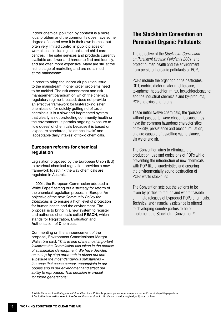Indoor chemical pollution by contrast is a more local problem and the community does have some degree of control over it in their own homes, but often very limited control in public places or workplaces, including schools and child-care centres. The safer services and products currently available are fewer and harder to find and identify, and are often more expensive. Many are still at the niche stage of marketing and are not aimed at the mainstream.

In order to bring the indoor air pollution issue to the mainstream, higher order problems need to be tackled. The risk assessment and risk management paradigm on which the chemical regulatory regime is based, does not provide an effective framework for fast-tracking safer chemicals or for quickly getting rid of toxic chemicals. It is a slow and fragmented system that clearly is not protecting community health or the environment. It permits ongoing exposure to 'low doses' of chemicals because it is based on 'exposure standards', 'tolerance levels' and 'acceptable daily intakes' of toxic chemicals.

## **European reforms for chemical regulation**

Legislation proposed by the European Union (EU) to overhaul chemical regulation provides a new framework to rethink the way chemicals are regulated in Australia.

In 2001, the European Commission adopted a White Paper<sup>8</sup> setting out a strategy for reform of the chemical regulation process in Europe. An objective of the new *Community Policy for Chemicals* is to ensure a high level of protection for human health and the environment. The proposal is to bring in a new system to register and authorise chemicals called **REACH**, which stands for **R**egistration, **E**valuation and **A**uthorisation of **C**hemicals.

Commenting on the announcement of the proposal, Environment Commissioner Margot Wallström said: *"This is one of the most important initiatives the Commission has taken in the context of sustainable development. We have decided on a step-by-step approach to phase out and substitute the most dangerous substances – the ones that cause cancer, accumulate in our bodies and in our environment and affect our ability to reproduce. This decision is crucial for future generations".* 

# **The Stockholm Convention on Persistent Organic Pollutants**

The objective of the *Stockholm Convention on Persistent Organic Pollutants 2001* is to protect human health and the environment from persistent organic pollutants or POPs.

POPs include the organochlorine pesticides: DDT, endrin, dieldrin, aldrin, chlordane, toxaphene, heptachlor, mirex, hexachlorobenzene; and the industrial chemicals and by-products; PCBs, dioxins and furans.

These initial twelve chemicals, the 'poisons without passports' were chosen because they have the common hazardous characteristics of toxicity, persistence and bioaccumulation, and are capable of travelling vast distances via water and air.

The Convention aims to eliminate the production, use and emissions of POPs while preventing the introduction of new chemicals with POP-like characteristics and ensuring the environmentally sound destruction of POPs waste stockpiles.

The Convention sets out the actions to be taken by parties to reduce and where feasible, eliminate releases of byproduct POPs chemicals. Technical and financial assistance is offered to developing country parties to help implement the Stockholm Convention.9

8 White Paper on the *Strategy for a Future Chemicals Policy,* http://europa.eu.int/comm/environment/chemicals/whitepaper.htm 9 For further information refer to the *Conventions Handbook*, http://www.oztoxics.org/waigani/pops\_c4.html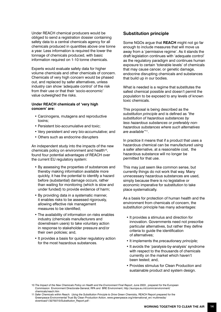Under REACH chemical producers would be obliged to send a registration dossier containing safety data to a central chemicals agency for all chemicals produced in quantities above one tonne a year. Less information is required the lower the tonnage of chemicals produced, with basic information required on 1-10 tonne chemicals.

Experts would evaluate safety data for higher volume chemicals and other chemicals of concern. Chemicals of very high concern would be phased out, and replaced by safer alternatives, unless industry can show 'adequate control' of the risk from their use or that their 'socio-economic' value outweighed the risks.

#### **Under REACH chemicals of 'very high concern' are:**

- Carcinogens, mutagens and reproductive toxins;
- Persistent bio-accumulative and toxic;
- Very persistent and very bio-accumulative; and
- Others such as endocrine disrupters

An independent study into the impacts of the new chemicals policy on environment and health<sup>10</sup>, found four potential advantages of REACH over the current EU regulatory system:

- By assessing the properties of substances and thereby making information available more quickly, it has the potential to identify a hazard before (substantial) damage occurs, rather than waiting for monitoring (which is slow and under funded) to provide evidence of harm;
- By providing data in a systematic manner, it enables risks to be assessed rigorously, allowing effective risk management measures to be identified;
- The availability of information on risks enables industry (chemicals manufacturers and downstream users) to take voluntary action in response to stakeholder pressure and/or their own policies; and,
- It provides a basis for quicker regulatory action for the most hazardous substances.

## **Substitution principle**

Some NGOs argue that **REACH** might not go far enough to include measures that will move us away from a 'permissive regime'. As it stands the draft legislation continues with 'adequate control' as the regulatory paradigm and continues human exposure to certain 'tolerable levels' of chemicals that may cause cancer, or genetic damage, endocrine disrupting chemicals and substances that build up in our bodies.

What is needed is a regime that substitutes the safest chemical possible and doesn't permit the population to be exposed to any levels of known toxic chemicals.

This proposal is being described as the *substitution principle* and is defined as *"the substitution of hazardous substances by less hazardous substances or preferably nonhazardous substances where such alternatives are available"*11.

In practice it means that if a product that uses a hazardous chemical can be manufactured using a safer alternative, at a reasonable cost, the hazardous substance will no longer be permitted for that use.

This may just seem like common sense, but currently things do not work that way. Many unnecessary hazardous substances are used, simply because there is no legislative or economic imperative for substitution to take place systematically.

As a basis for protection of human health and the environment from chemicals of concern, the substitution principle has many advantages:

- It provides a stimulus and direction for innovation. Governments need not prescribe particular alternatives, but rather they define criteria to guide the identification of alternatives;
- It implements the *precautionary principle;*
- It avoids the 'paralysis-by-analysis' syndrome with respect to the thousands of chemicals currently on the market which haven't been tested; and,
- Provides stimulus for Clean Production and sustainable product and system design.

<sup>10</sup> *The Impact of the New Chemicals Policy on Health and the Environment Final Report*, June 2003 , prepared for the European Commission Environment Directorate-General, RPA and BRE Environment, http://europa.eu.int/comm/environment/ chemicals/reach.htm

<sup>11</sup> *Safer Chemicals within Reach: Using the Substitution Principle to Drive Green Chemistry*, REACH Report prepared for the Greenpeace Environmental Trust By Clean Production Action, www.greenpeace.org/international\_en/ multimedia/ download/1/327507/0/Substitution\_Report.pdf -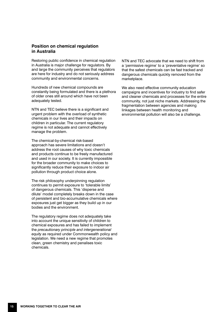### **Position on chemical regulation in Australia**

Restoring public confidence in chemical regulation in Australia is major challenge for regulators. By and large the community perceives that regulators are here for industry and do not seriously address community and environmental concerns.

Hundreds of new chemical compounds are constantly being formulated and there is a plethora of older ones still around which have not been adequately tested.

NTN and TEC believe there is a significant and urgent problem with the overload of synthetic chemicals in our lives and their impacts on children in particular. The current regulatory regime is not adequate and cannot effectively manage the problem.

The chemical-by-chemical risk-based approach has severe limitations and doesn't address the root causes of why toxic chemicals and products continue to be freely manufactured and used in our society. It is currently impossible for the broader community to make choices to significantly reduce their exposure to indoor air pollution through product choice alone.

The risk philosophy underpinning regulation continues to permit exposure to 'tolerable limits' of dangerous chemicals. This 'disperse and dilute' model completely breaks down in the case of persistent and bio-accumulative chemicals where exposures just get bigger as they build up in our bodies and the environment.

The regulatory regime does not adequately take into account the unique sensitivity of children to chemical exposures and has failed to implement the *precautionary principle and intergenerational equity* as required under Commonwealth policy and legislation. We need a new regime that promotes clean, green chemistry and penalises toxic chemicals.

NTN and TEC advocate that we need to shift from a 'permissive regime' to a 'preventative regime' so that the safest chemicals can be fast tracked and dangerous chemicals quickly removed from the marketplace.

We also need effective community education campaigns and incentives for industry to find safer and cleaner chemicals and processes for the entire community, not just niche markets. Addressing the fragmentation between agencies and making linkages between health monitoring and environmental pollution will also be a challenge.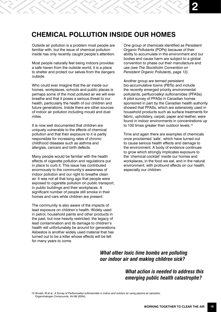# **CHEMICAL POLLUTION INSIDE OUR HOMES**

Outside air pollution is a problem most people are familiar with, but the issue of chemical pollution inside has only recently caught people's attention.

Most people naturally feel being indoors provides a safe haven from the outside world; it is a place to shelter and protect our selves from the dangers outside.

Who could ever imagine that the air inside our homes, workplaces, schools and public places is perhaps some of the most polluted air we will ever breathe and that it poses a serious threat to our health, particularly the health of our children and future generations. Inside there are other sources of indoor air pollution including mould and dust mites.

It is now well documented that children are uniquely vulnerable to the effects of chemical pollution and that their exposure to it is partly responsible for increasing rates of chronic childhood diseases such as asthma and allergies, cancers and birth defects.

Many people would be familiar with the health effects of cigarette pollution and regulations put in place to curb it. This issue has contributed enormously to the community's awareness of indoor pollution and our right to breathe clean air. It was not all that long ago that people were exposed to cigarette pollution on public transport, in public buildings and their workplaces. A significant number of people still smoke in their homes and cars while children are present.

The community is also aware of the impacts of lead exposure on children's health. Widely used in petrol, household paints and other products in the past, but now heavily restricted, the legacy of lead contamination and its damage to children's health will unfortunately be around for generations. Asbestos is another widely used material that has turned out to be a killer whose effects will be felt for many years to come.

One group of chemicals identified as Persistent Organic Pollutants (POPs) because of their ability to accumulate in the environment and our bodies and cause harm are subject to a global convention to phase out their manufacture and use *(see The Stockholm Convention on Persistent Organic Pollutants, page 12).*

**2**

Another group are termed persistent bio-accumulative toxins (PBTs) and include the recently emerged priority environmental pollutants, perfluoroalkyl sulfonamides (PFASs). A pilot survey of PFASs in Canadian homes sponsored in part by the Canadian health authority showed that PFASs, which are extensively used in household products such as surface treatments for fabric, upholstery, carpet, paper and leather, were found in indoor environments in concentrations up to 100 times greater than outdoor levels.<sup>12</sup>

Time and again there are examples of chemicals once proclaimed 'safe', which have turned out to cause serious health effects and damage to the environment. A body of evidence continues to grow which strongly implicates exposure to the 'chemical cocktail' inside our homes and workplaces, in the food we eat, and in the natural environment, with profound effects on our health, especially our children.

*What other toxic time bombs are polluting our indoor air and making children sick?* 

> *What action is needed to address this emerging public health catastrophe?*

12 Shoeib, M et al., *A Survey of Perfluoroalkyl sulfonamides in indoor and outdoor air using passive air samplers,*  Organohalogen Compounds, Vol 66 (2004).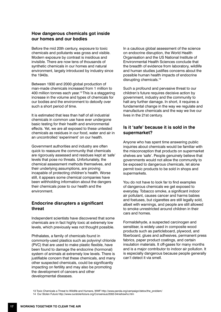## **How dangerous chemicals got inside our homes and our bodies**

Before the mid 20th century, exposure to toxic chemicals and pollutants was gross and visible. Modern exposure by contrast is insidious and invisible. There are now tens of thousands of synthetic chemicals in our homes and natural environment, largely introduced by industry since the 1940s.

Between 1930 and 2000 global production of man-made chemicals increased from 1 million to 400 million tonnes each year.13 This is a staggering increase in the volume and types of chemicals for our bodies and the environment to detoxify over such a short period of time.

It is estimated that less than half of all industrial chemicals in common use have ever undergone basic testing for their health and environmental effects. Yet, we are all exposed to these untested chemicals as residues in our food, water and air in an uncontrolled 'experiment' on our health.

Government authorities and industry are often quick to reassure the community that chemicals are rigorously assessed and residues kept at 'safe' levels that pose no threats. Unfortunately, the chemical assessment methods themselves, and their underlying assumptions, are proving incapable of protecting children's health. Worse still, it appears some chemical companies have been withholding information about the dangers their chemicals pose to our health and the environment.

## **Endocrine disrupters a significant threat**

Independent scientists have discovered that some chemicals are in fact highly toxic at extremely low levels, which previously was not thought possible.

Phthalates, a family of chemicals found in commonly-used plastics such as polyvinyl chloride (PVC) that are used to make plastic flexible, have been found to damage the endocrine (hormonal) system of animals at extremely low levels. There is justifiable concern that these chemicals, and many other suspected chemicals, could be significantly impacting on fertility and may also be promoting the development of cancers and other developmental diseases.

In a cautious global assessment of the science on endocrine disruption, the World Health Organisation and the US National Institute of Environmental Health Sciences conclude that the breadth of evidence from laboratory, wildlife and human studies justifies concerns about the possible human health impacts of endocrine disrupting chemicals.<sup>14</sup>

Such a profound and pervasive threat to our children's future requires decisive action by government, industry and the community to halt any further damage. In short, it requires a fundamental change in the way we regulate and manufacture chemicals and the way we live our lives in the 21st century.

## **Is it 'safe' because it is sold in the supermarket?**

Anyone who has spent time answering public inquiries about chemicals would be familiar with the misconception that products on supermarket shelves are 'safe'. People genuinely believe that governments would not allow the community to be exposed to dangerous chemicals, let alone permit toxic products to be sold in shops and supermarkets.

You do not have to look far to find examples of dangerous chemicals we get exposed to everyday. Tobacco smoke, a significant indoor air pollutant, causes cancer and harms babies and foetuses, but cigarettes are still legally sold, albeit with warnings, and people are still allowed to smoke unrestricted around children in their cars and homes.

Formaldehyde, a suspected carcinogen and sensitiser, is widely used in composite wood products such as particleboard, plywood, and fiberboard, glues and adhesives, permanent press fabrics, paper product coatings, and certain insulation materials. It off-gases for many months and is a major contributor to indoor air pollution. It is especially dangerous because people generally can't detect it via smell.

13 Toxic Chemicals a Threat to Wildlife and Humans, WWF http://www.panda.org/campaign/detox/the\_problem/

14 Our Stolen Future http://www.ourstolenfuture.org/Consensus/2002-04niehswho.htm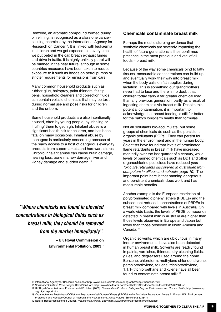Benzene, an aromatic compound formed during oil refining, is recognised as a class one cancercausing chemical by the International Agency for Research on Cancer<sup>15</sup>. It is linked with leukaemia in children and we get exposed to it every time we put petrol in the car, breath exhaust fumes and drive in traffic. It is highly unlikely petrol will be banned in the near future, although in some countries measures have been taken to reduce exposure to it such as hoods on petrol pumps or stricter requirements for emissions from cars.

Many common household products such as rubber glue, hairspray, paint thinners, felt-tip pens, household cleaners and correction fluids can contain volatile chemicals that may be toxic during normal use and pose risks for children and the unborn.

Some household products are also intentionally abused, often by young people, by inhaling or 'huffing' them to get high. Inhalant abuse is a significant health risk for children, and has been fatal on many occasions. Inhalant abuse by teenagers is particularly concerning because of the ready access to a host of dangerous everyday products from supermarkets and hardware stores. Chronic inhalant abuse can cause brain damage, hearing loss, bone marrow damage, liver and kidney damage and sudden death.16

*"Where chemicals are found in elevated concentrations in biological fluids such as breast milk, they should be removed from the market immediately".* 

> **– UK Royal Commission on Environmental Pollution, 200317**

#### **Chemicals contaminate breast milk**

Perhaps the most disturbing evidence that synthetic chemicals are severely impacting the health of future generations is their confirmed presence in the most precious and vital of all foods – breast milk.

Because of the way some chemicals bind to fatty tissues, measurable concentrations can build up and eventually work their way into breast milk when the body calls on fat supplies during lactation. This is something our grandmothers never had to face and there is no doubt that children today carry a far greater chemical load than any previous generation, partly as a result of ingesting chemicals via breast milk. Despite this potential contamination, it is important to acknowledge that breast-feeding is still far better for the baby's long-term health than formulas.

Not all pollutants bio-accumulate, but some groups of chemicals do such as the persistent organic pollutants (POPs). They can persist for years in the environment and in the human body. Scientists have found that levels of brominated flame retardants in breast milk have increased markedly over the last quarter of a century, while levels of banned chemicals such as DDT and other organochlorine pesticides have reduced *(see Toxic fire retardants discovered in dust taken from computers in offices and schools, page 19)*. The important point here is that banning dangerous and persistent chemicals does work and has measurable benefits.

Another example is the European restriction of polybrominated diphenyl ethers (PBDEs) and the subsequent reduced concentrations of PBDEs in breast milk compared with levels in Australia. On a worldwide basis, the levels of PBDE compounds detected in breast milk in Australia are higher than those levels observed in Europe and Japan but lower than those observed in North America and Canada.<sup>18</sup>

Organic solvents, which are ubiquitous in many indoor environments, have also been detected in human breast milk. Solvents are readily found in paints, varnishes, thinners, dry-cleaning fluids, glues, and degreasers used around the home. Benzene, chloroform, methylene chloride, styrene, perchloroethylene, toluene, trichloroethylene, 1,1,1- trichloroethane and xylene have all been found to contaminate breast milk.19

- 18 *Organochlorine Pesticides (OCPs) and Polybrominated Diphenyl Ethers (PBDEs) in the Australian Population: Levels in Human Milk*, Environment Protection and Heritage Council of Australia and New Zealand, January 2005 ISBN 0 642 32384 4
- 19 Natural Resources Defence Council, *Healthy Milk Healthy Baby* http://www.nrdc.org/breastmilk/default.asp

<sup>15</sup> International Agency for Research on Cancer http://www-cie.iarc.fr/htdocs/monographs/suppl7/benzene.html

<sup>16</sup> *Household Inhalants Pose Danger,* David Van Horn, http://www.healthatoz.com/healthatoz/Atoz/dc/caz/suba/tnsa/alert05122001.jsp

<sup>17</sup> UK Royal Commission on Environmental Pollution (2003), *Chemicals in Products: Safeguarding the Environment and Human Health*, http://www.rcep. org.uk/chreport.htm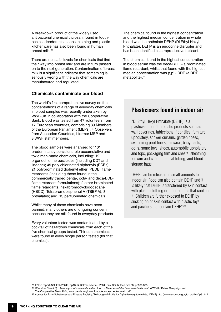A breakdown product of the widely used antibacterial chemical triclosan, found in toothpastes, deodorants, soaps, clothing and plastic kitchenware has also been found in human breast milk.<sup>20</sup>

There are no 'safe' levels for chemicals that find their way into breast milk and are in turn passed on to the next generation. Contamination of breast milk is a significant indicator that something is seriously wrong with the way chemicals are manufactured and regulated.

## **Chemicals contaminate our blood**

The world's first comprehensive survey on the concentrations of a range of everyday chemicals in blood samples was recently undertaken by WWF-UK in collaboration with the Cooperative Bank. Blood was tested from 47 volunteers from 17 European countries, comprising 39 Members of the European Parliament (MEPs), 4 Observers from Accession Countries,1 former MEP and 3 WWF staff members.

The blood samples were analysed for 101 predominantly persistent, bio-accumulative and toxic man-made chemicals, including: 12 organochlorine pesticides (including DDT and lindane); 45 poly chlorinated biphenyls (PCBs); 21 polybrominated diphenyl ether (PBDE) flame retardants (including those found in the commercially traded penta-, octa- and deca-BDEflame retardant formulations); 2 other brominated flame retardants, hexabromocyclododecane (HBCD), Tetrabromobisphenol A (TBBP-A); 8 phthalates; and, 13 perfluorinated chemicals.

Whilst many of these chemicals have been banned, many others are of ongoing concern because they are still found in everyday products.

Every volunteer tested was contaminated by a cocktail of hazardous chemicals from each of the five chemical groups tested. Thirteen chemicals were found in every single person tested (for that chemical).

The chemical found in the highest concentration and the highest median concentration in whole blood was the phthalate DEHP (Di Ethyl Hexyl Phthalate). DEHP is an endocrine disrupter and has been identified as a reproductive toxicant.

The chemical found in the highest concentration in blood serum was the deca-BDE – a brominated flame retardant, whilst that found with the highest median concentration was p,p' - DDE (a DDT metabolite).<sup>21</sup>

# **Plasticisers found in indoor air**

"Di Ethyl Hexyl Phthalate (DEHP) is a plasticiser found in plastic products such as wall coverings, tablecloths, floor tiles, furniture upholstery, shower curtains, garden hoses, swimming pool liners, rainwear, baby pants, dolls, some toys, shoes, automobile upholstery and tops, packaging film and sheets, sheathing for wire and cable, medical tubing, and blood storage bags.

DEHP can be released in small amounts to indoor air. Food can also contain DEHP and it is likely that DEHP is transferred by skin contact with plastic clothing or other articles that contain it. Children are further exposed to DEHP by sucking on or skin contact with plastic toys and pacifiers that contain DEHP" 22

20 ENDS report 349, Feb 2004s, pp13-14 Balmer, M et al., 2004, Env. Sci. & Tech, Vol 38, pp390-395.

- 21 *Chemical Check Up: An analysis of chemicals in the blood of Members of the European Parliament*, WWF-UK DetoX Campaign and
- The Cooperative Bank 2004, www.panda.org/downloads/europe/checkupmain.pdf

22 Agency for Toxic Substances and Disease Registry, *Toxicological Profile for Di(2-ethylhexyl)phthalate,* (DEHP) http://www.atsdr.cdc.gov/toxprofiles/tp9.html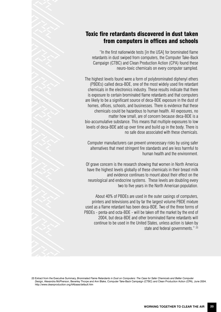# Toxic fire retardants discovered in dust taken from computers in offices and schools

"In the first nationwide tests [in the USA] for brominated flame retardants in dust swiped from computers, the Computer Take-Back Campaign (CTBC) and Clean Production Action (CPA) found these neuro-toxic chemicals on every computer sampled.

The highest levels found were a form of polybrominated diphenyl ethers (PBDEs) called deca-BDE, one of the most widely used fire retardant chemicals in the electronics industry. These results indicate that there is exposure to certain brominated flame retardants and that computers are likely to be a significant source of deca-BDE exposure in the dust of homes, offices, schools, and businesses. There is evidence that these chemicals could be hazardous to human health. All exposures, no matter how small, are of concern because deca-BDE is a bio-accumulative substance. This means that multiple exposures to low levels of deca-BDE add up over time and build up in the body. There is no safe dose associated with these chemicals.

Computer manufacturers can prevent unnecessary risks by using safer alternatives that meet stringent fire standards and are less harmful to human health and the environment.

Of grave concern is the research showing that women in North America have the highest levels globally of these chemicals in their breast milk and evidence continues to mount about their effect on the neurological and endocrine systems. These levels are doubling every two to five years in the North American population.

About 40% of PBDEs are used in the outer casings of computers, printers and televisions and by far the largest volume PBDE mixture used as a flame retardant has been deca-BDE. Two of the three forms of PBDEs - penta-and octa-BDE - will be taken off the market by the end of 2004, but deca-BDE and other brominated flame retardants will continue to be used in the United States, unless action is taken by state and federal governments." 23



23 Extract from the Executive Summary, *Brominated Flame Retardants in Dust on Computers: The Case for Safer Chemicals and Better Computer Design,* Alexandra McPherson, Beverley Thorpe and Ann Blake, Computer Take-Back Campaign (CTBC) and Clean Production Action (CPA), June 2004. http://www.cleanproduction.org/AAbase/default.htm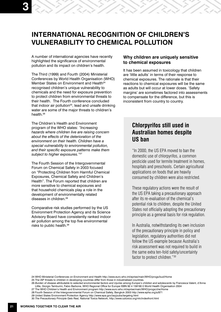# **INTERNATIONAL RECOGNITION OF CHILDREN'S VULNERABILITY TO CHEMICAL POLLUTION**

A number of international agencies have recently highlighted the significance of environmental pollution and its impact on children's health.

The Third (1999) and Fourth (2004) Ministerial Conferences by World Health Organisation (WHO) Member States on Environment and Health<sup>24</sup> recognised children's unique vulnerability to chemicals and the need for exposure prevention to protect children from environmental threats to their health. The Fourth conference concluded that indoor air pollution<sup>25</sup>, lead and unsafe drinking water are some of the major threats to children's health.<sup>26</sup>

The Children's Health and Environment program of the WHO states: *"Increasing hazards where children live are raising concern about the effects of the deterioration of the environment on their health. Children have a special vulnerability to environmental pollution, and their specific exposure patterns make them subject to higher exposures."27*

The Fourth Session of the Intergovernmental Forum on Chemical Safety in 2003 focused on "Protecting Children from Harmful Chemical Exposures, Chemical Safety and Children's Health". The Forum reported that children are more sensitive to chemical exposures and that household chemicals play a role in the development of environmentally related diseases in children.<sup>28</sup>

Comparative risk studies performed by the US Environment Protection Agency and its Science Advisory Board have consistently ranked indoor air pollution among the top five environmental risks to public health.29

### **Why children are uniquely sensitive to chemical exposures**

It has been assumed in toxicology that children are 'little adults' in terms of their response to chemical exposures. The rationale is that their reactions to chemical exposures will be the same as adults but will occur at lower doses. 'Safety margins' are sometimes factored into assessments to compensate for the difference, but this is inconsistent from country to country.

# **Chlorpyrifos still used in Australian homes despite US ban**

"In 2000, the US EPA moved to ban the domestic use of chlorpyrifos, a common pesticide used for termite treatment in homes, hospitals and preschools. Certain agricultural applications on foods that are heavily consumed by children were also restricted.

These regulatory actions were the result of the US EPA taking a precautionary approach after its re-evaluation of the chemical's potential risk to children, despite the United States not officially adopting the precautionary principle as a general basis for risk regulation.

In Australia, notwithstanding its own inclusion of the precautionary principle in policy and legislation, regulatory authorities did not follow the US example because Australia's risk assessment was not required to build in the same extra ten-fold safety/uncertainty factor to protect children."30

24 WHO Ministerial Conferences on Environment and Health http://www.euro.who.int/eprise/main/WHO/progs/bud/Home

25 The IAP threats to children in developing countries differ from those in industrialised countries.

- 29 United States Environment Protection Agency http://www.epa.gov/iaq/pubs/targetng.html
- 30 *The Precautionary Principle Gets Real,* National Toxics Network, http://www.oztoxics.org/ntn/indexfront.html

<sup>26</sup> *Burden of disease attributable to selected environmental factors and injuries among Europe's children and adolescents* by Francesca Valent, d'Anna Little, Giorgio Tamburini, Fabio Barbone, WHO Regional Office for Europe ISBN 92 4 159190 0 World Health Organisation 2004

<sup>27</sup> The WHO Children's Health and Environment program http://www.euro.who.int/eprise/main/WHO/progs/che/Home

<sup>28</sup> Fourth Session of the Intergovernmental Forum on Chemical Safety, Bangkok 2003 http://www.epha.org/a/871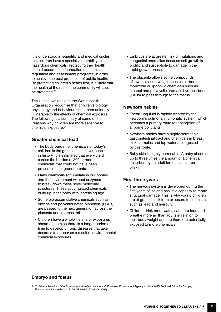It is understood in scientific and medical circles that children have a special vulnerability to hazardous chemicals. Protecting their health should become the foundation of chemical regulation and assessment programs, in order to achieve the best protection of public health. By protecting children's health first, it is likely that the health of the rest of the community will also be protected.<sup>30</sup>

The United Nations and the World Health Organisation recognise that children's biology, physiology and behaviour make them uniquely vulnerable to the effects of chemical exposure. The following is a summary of some of the reasons why children are more sensitive to chemical exposure.31

## **Greater chemical load**

- The body burden of chemicals of today's children is the greatest it has ever been in history. It is estimated that every child carries the burden of 300 or more chemicals that could not have been present in their grandparents.
- Many chemicals accumulate in our bodies and the environment without enzymes to break down these novel molecular structures. These accumulated chemicals build up in the body with increasing age.
- Some bio-accumulative chemicals such as dioxins and polychlorinated biphenyls (PCBs) are passed to the next generation across the placenta and in breast milk.
- Children have a whole lifetime of exposures ahead of them so there is a longer period of time to develop chronic diseases that take decades to appear as a result of environmental chemical exposures.
- Embryos are at greater risk of mutations and congenital anomalies because cell growth is prolific and susceptible to damage in the rapid growth phase.
- The placenta allows some compounds of low molecular weight such as carbon monoxide or lipophilic chemicals such as ethanol and polycyclic aromatic hydrocarbons (PAHs) to pass through to the foetus.

## **Newborn babies**

- Foetal lung fluid is rapidly cleared by the newborn's pulmonary lymphatic system, which becomes a primary route for absorption of airborne pollutants.
- Newborn babies have a highly permeable gastrointestinal tract and chemicals in breast milk, formulas and tap water are ingested by this route.
- Baby skin is highly permeable. A baby absorbs up to three times the amount of a chemical absorbed by an adult for the same area of skin.

## **First three years**

- The nervous system is developed during the first years of life and has little capacity to repair structural damage. This is why young children are at greatest risk from exposure to chemicals such as lead and mercury.
- Children drink more water, eat more food and breathe more air than adults in relation to their body weight and are therefore potentially exposed to more chemicals.

## **Embryo and foetus**

<sup>31 &#</sup>x27;*Children's Health and the Environment: A review of evidence*', European Environment Agency and the WHO Regional Office for Europe, Environmental Issue Report No 29 ISBN 92-9167-412-5 (2002)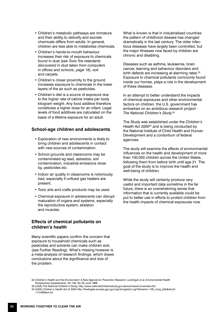- Children's metabolic pathways are immature and their ability to detoxify and excrete chemicals differs from adults. In general, children are less able to metabolise chemicals.
- Children's hands-to-mouth behaviour increases their risk of exposure to chemicals found in dust (*see Toxic fire retardants discovered in dust taken from computers in offices and schools, page 18*), soil and carpets.
- Children's closer proximity to the ground increases exposure to chemicals in the lower layers of the air such as pesticides.
- Children's diet is a source of exposure due to the higher rate of calorie intake per body kilogram weight. Any food additive therefore constitutes a higher dose for an infant. Legal levels of food additives are calculated on the basis of a lifetime exposure for an adult.

## **School-age children and adolescents**

- Exploration of new environments is likely to bring children and adolescents in contact with new sources of contamination.
- School grounds and classrooms may be contaminated eg lead, asbestos, soil contamination, industrial emissions close by, pesticides etc.
- Indoor air quality in classrooms is notoriously bad, especially if unflued gas heaters are present.
- Toxic arts and crafts products may be used.
- Chemical exposure in adolescents can disrupt maturation of organs and systems, especially the reproductive system, skeleton and muscles.

## **Effects of chemical pollutants on children's health**

Many scientific papers confirm the concern that exposure to household chemicals such as pesticides and solvents can make children sick. (*see Further Reading*). What's missing however is a meta-analysis of research findings, which draws conclusions about the significance and size of the problem.

What is known is that in industrialised countries the pattern of childhood disease has changed dramatically in the last century. The older infectious diseases have largely been controlled, but the major illnesses now faced by children are chronic and disabling.

Diseases such as asthma, leukaemia, brain cancer, learning and behaviour disorders and birth defects are increasing at alarming rates.<sup>32</sup> Exposure to chemical pollutants commonly found inside our homes, plays a role in the development of these diseases.

In an attempt to better understand the impacts of chemical exposures and other environmental factors on children, the U.S. government has embarked on an ambitious research project - *The National Children's Study.*<sup>33</sup>

The Study was established under the *Children's Health Act 200034* and is being conducted by the National Institute of Child Health and Human Development and a consortium of federal agencies.

The study will examine the effects of environmental influences on the health and development of more than 100,000 children across the United States, following them from before birth until age 21. The goal of the study is to improve the health and well-being of children.

While the study will certainly produce very useful and important data sometime in the far future, there is an overwhelming sense that information that is currently available could be put to better use in efforts to protect children from the health impacts of chemical exposures now.

<sup>32</sup> *Children's Health and the Environment: A New Agenda for Prevention Research, Landrigan et al, Environmental Health*  Perspectives Supplements, Vol 106, No S3 June 1998

<sup>33 [</sup>USA] The National Children's Study, http://www.nationalchildrensstudy.gov/about/mission/overview.cfm

<sup>34 [</sup>USA] *Children's Health Act of 2000* http://frwebgate.access.gpo.gov/cgi-bin/getdoc.cgi?dbname=106\_cong\_bills&docid =f:h4365enr.txt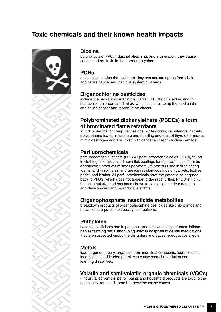# **Toxic chemicals and their known health impacts**



#### **Dioxins**

by-products of PVC, industrial bleaching, and incineration, they cause cancer and are toxic to the hormonal system.

## **PCBs**

once used in industrial insulators, they accumulate up the food chain and cause cancer and nervous system problems.

# **Organochlorine pesticides**

include the persistent organic pollutants; DDT, dieldrin, aldrin, endrin, heptachlor, chlordane and mirex, which accumulate up the food chain and cause cancer and reproductive effects.

# **Polybrominated diphenylethers (PBDEs) a form of brominated flame retardants**

found in plastics for computer casings, white goods, car interiors, carpets, polyurethane foams in furniture and bedding and disrupt thyroid hormones, mimic oestrogen and are linked with cancer and reproductive damage.

# **Perfluorochemicals**

perfluorooctane sulfonate (PFOS) / perfluorooctanoic acids (PFOA) found in clothing, cosmetics and non-stick coatings for cookware, also form as degradation products of small polymers ('telomers') used in fire-fighting foams, and in soil, stain and grease-resistant coatings on carpets, textiles, paper, and leather. All perfluorochemicals have the potential to degrade back to PFOS, which does not appear to degrade further. PFOS is highly bio-accumulative and has been shown to cause cancer, liver damage and development and reproductive effects.

# **Organophosphate insecticide metabolites**

breakdown products of organophosphate pesticides like chlorpyrifos and malathion are potent nervous system poisons.

## **Phthalates**

used as plasticisers and in personal products, such as perfumes, lotions, babies teething rings' and tubing used in hospitals to deliver medications, they are suspected endocrine disrupters and cause reproductive effects.

## **Metals**

lead, organomercury, organotin from industrial emissions, food residues, lead in paint and leaded petrol, can cause mental retardation and learning disabilities.

## **Volatile and semi-volatile organic chemicals (VOCs)**

- industrial solvents in petrol, paints and household products are toxic to the nervous system, and some like benzene cause cancer.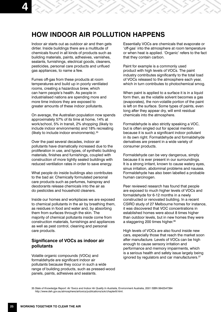# **HOW INDOOR AIR POLLUTION HAPPENS**

Indoor air starts out as outdoor air and then gets dirtier. Inside buildings there are a multitude of chemicals found in all kinds of products such as building materials, paints, adhesives, varnishes, sealants, furnishings, electrical goods, cleaners, pesticides, personal care products and unflued gas appliances, to name a few.

Fumes off-gas from these products at room temperatures and build up in poorly ventilated rooms, creating a hazardous brew, which can harm people's health. As people in industrialised nations are spending more and more time indoors they are exposed to greater amounts of these indoor pollutants.

On average, the Australian population now spends approximately 57% of its time at home, 14% at work/school, 5% in transit, 2% shopping (likely to include indoor environments) and 18% recreating (likely to include indoor environments).35

Over the past several decades, indoor air pollutants have dramatically increased due to the proliferation in use, and types, of synthetic building materials, finishes and furnishings, coupled with construction of more tightly sealed buildings with reduced ventilation rates in order to save energy.

What people do inside buildings also contributes to the bad air. Chemically formulated personal care products such as perfumes, hairspray and deodorants release chemicals into the air as do pesticides and household cleaners.

Inside our homes and workplaces we are exposed to chemical pollutants in the air by breathing them, as residues in food and water and, by absorbing them from surfaces through the skin. The majority of chemical pollutants inside come from construction materials, furnishings and appliances as well as pest control, cleaning and personal care products.

## **Significance of VOCs as indoor air pollutants**

Volatile organic compounds (VOCs) and formaldehyde are significant indoor air pollutants because they occur in such a wide range of building products, such as pressed-wood panels, paints, adhesives and sealants.

Essentially VOCs are chemicals that evaporate or 'off-gas' into the atmosphere at room temperature or when heat is applied. 'Organic' refers to the fact that they contain carbon.

Paint for example is a commonly used product with high levels of VOCs. The paint industry contributes significantly to the total load of VOCs released to the atmosphere each year, which in turn contributes to photochemical smog.

When paint is applied to a surface it is in a liquid form then, as the volatile solvent becomes a gas (evaporates), the non-volatile portion of the paint is left on the surface. Some types of paints, even long after they appear dry, will emit residual chemicals into the atmosphere.

Formaldehyde is also strictly speaking a VOC, but is often singled out for special mention because it is such a significant indoor pollutant in its own right. Formaldehyde and formaldehyde derivatives are present in a wide variety of consumer products.

Formaldehyde can be very dangerous, simply because it is ever present in our surroundings. It is a strong irritant, known to cause watery eyes, sinus irritation, abdominal problems and nausea. Formaldehyde has also been labelled a probable human carcinogen.

Peer reviewed research has found that people are exposed to much higher levels of VOCs and formaldehyde for 6-12 months in a newly constructed or renovated building. In a recent CSIRO study of 27 Melbourne homes for instance, it was discovered that VOC concentrations in established homes were about 8 times higher than outdoor levels, but in new homes they were a staggering 200 times higher.<sup>36</sup>

High levels of VOCs are also found inside new cars, especially those that reach the market soon after manufacture. Levels of VOCs can be high enough to cause sensory irritation and performance and memory impairments, which is a serious health and safety issue largely being ignored by regulators and car manufacturers.<sup>37</sup>

35 *State of Knowledge Report: Air Toxics and Indoor Air Quality In Australia,* Environment Australia, 2001 ISBN 0642547394 http://www.deh.gov.au/atmosphere/airtoxics/publications/sok/chapter9.html.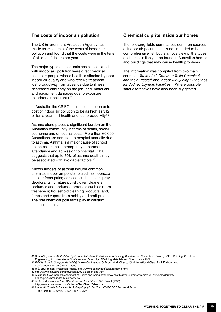#### **The costs of indoor air pollution**

The US Environment Protection Agency has made assessments of the costs of indoor air pollution and found that the costs were in the tens of billions of dollars per year.

The major types of economic costs associated with indoor air pollution were direct medical costs for: people whose health is affected by poor indoor air quality and who receive treatment; lost productivity from absence due to illness; decreased efficiency on the job; and, materials and equipment damages due to exposure to indoor air pollutants.<sup>38</sup>

In Australia, the CSIRO estimates the economic cost of indoor air pollution to be as high as \$12 billion a year in ill health and lost productivity.<sup>39</sup>

Asthma alone places a significant burden on the Australian community in terms of health, social, economic and emotional costs. More than 60,000 Australians are admitted to hospital annually due to asthma. Asthma is a major cause of school absenteeism, child emergency department attendance and admission to hospital. Data suggests that up to 60% of asthma deaths may be associated with avoidable factors.<sup>40</sup>

Known triggers of asthma include common chemical indoor air pollutants such as: tobacco smoke; fresh paint; aerosols such as hair sprays, deodorants, furniture polish, oven cleaners; perfumes and perfumed products such as room fresheners; household cleaning products; and, fumes and vapors from hobby and craft projects. The role chemical pollutants play in causing asthma is unclear.

#### **Chemical culprits inside our homes**

The following Table summarises common sources of indoor air pollutants. It is not intended to be a comprehensive list, but is an overview of the types of chemicals likely to be found in Australian homes and buildings that may cause health problems.

The information was compiled from two main sources:- *Table of 42 Common Toxic Chemicals and their Effects*41 and *Indoor Air Quality Guidelines for Sydney Olympic Facilities*. 42 Where possible, safer alternatives have also been suggested.

<sup>36</sup> *Controlling Indoor Air Pollution by Product Labels for Emissions from Building Materials and Contents,* S. Brown, CSIRO Building, Construction & Engineering, 9th International Conference on Durability of Building Materials and Components 2002

<sup>37</sup> *Volatile Organic Compounds (VOCs) in New Car Interiors,* S. Brown & M. Cheng, 15th International Clean Air & Environment

Conference, Sydney CASANZ 2000

<sup>38</sup> U.S. Environment Protection Agency http://www.epa.gov/iaq/pubs/targetng.html

<sup>39</sup> http://www.cmit.csiro.au/innovation/2002-02/greenlabel.htm

<sup>40</sup> Australian Government Department of Health and Aging http://www.health.gov.au/internet/wcms/publishing.nsf/Content/ health-pq-asthma-index.htm#overview

<sup>41</sup> *Table of 42 Common Toxic Chemicals and their Effects,* S.C. Rowat (1998), http://www.rowatworks.com/Science/Tox\_Chem\_Table.html

<sup>42</sup> *Indoor Air Quality Guidelines for Sydney Olympic Facilities,* CSIRO BCE Technical Report TR97/3 (1998), J.Immig, S.Rish & S.K. Brown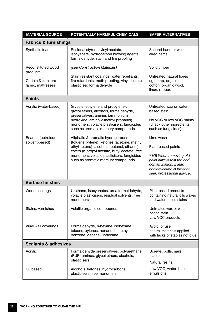| <b>MATERIAL SOURCE</b>                    | POTENTIALLY HARMFUL CHEMICALS                                                                                                                                                                                                                                         | <b>SAFER ALTERNATIVES</b>                                                                                                               |  |  |
|-------------------------------------------|-----------------------------------------------------------------------------------------------------------------------------------------------------------------------------------------------------------------------------------------------------------------------|-----------------------------------------------------------------------------------------------------------------------------------------|--|--|
| <b>Fabrics &amp; furnishings</b>          |                                                                                                                                                                                                                                                                       |                                                                                                                                         |  |  |
| Synthetic foams                           | Residual styrene, vinyl acetate,<br>isocyanate, hydrocarbon blowing agents,<br>formaldehyde, stain and fire proofing                                                                                                                                                  | Second hand or well<br>aired items                                                                                                      |  |  |
| Reconstituted wood<br>products            | (see Construction Materials)                                                                                                                                                                                                                                          | Solid timber                                                                                                                            |  |  |
| Curtain & furniture<br>fabric, mattresses | Stain resistant coatings, water repellants,<br>fire retardants, moth proofing, vinyl acetate,<br>plasticiser, formaldehyde                                                                                                                                            | Untreated natural fibres<br>eg hemp, organic<br>cotton, organic wool,<br>linen, rubber.                                                 |  |  |
| <b>Paints</b>                             |                                                                                                                                                                                                                                                                       |                                                                                                                                         |  |  |
| Acrylic (water-based)                     | Glycols (ethylene and propylene),<br>glycol ethers, alcohols, formaldehyde,<br>preservatives, amines (ammonium<br>hydroxide, amino-2-methyl propanol),<br>monomers, volatile plasticisers, fungicides<br>such as aromatic mercury compounds                           | Untreated wax or water-<br>based stain                                                                                                  |  |  |
|                                           |                                                                                                                                                                                                                                                                       | No VOC or low VOC paints<br>(check other ingredients<br>such as fungicides)                                                             |  |  |
| Enamel (petroleum<br>solvent-based)       | Aliphatic & aromatic hydrocarbons<br>(toluene, xylene), ketones (acetone, methyl<br>ethyl ketone), alcohols (butanol, ethanol),<br>esters (n-propyl acetate, butyl acetate) free<br>monomers, volatile plasticisers, fungicides<br>such as aromatic mercury compounds | Lime wash                                                                                                                               |  |  |
|                                           |                                                                                                                                                                                                                                                                       | Plant-based paints                                                                                                                      |  |  |
|                                           |                                                                                                                                                                                                                                                                       | * NB When removing old<br>paint always test for lead<br>contamination. If lead<br>contamination is present<br>seek professional advice. |  |  |
| <b>Surface finishes</b>                   |                                                                                                                                                                                                                                                                       |                                                                                                                                         |  |  |
| Wood coatings                             | Urethane, isocyanates, urea formaldehyde,<br>volatile plasticisers, residual solvents, free<br>monomers                                                                                                                                                               | Plant-based products<br>containing natural oils waxes<br>and water-based stains                                                         |  |  |
| Stains, varnishes                         | Volatile organic compounds                                                                                                                                                                                                                                            | Untreated wax or water-<br>based stain<br>Low VOC products                                                                              |  |  |
| Vinyl wall coverings                      | Formaldehyde, n-hexane, isohexane,<br>toluene, xylenes, nonane, trimethyl<br>benzene, decane, undecane                                                                                                                                                                | Avoid, or use<br>natural materials applied<br>with tacks or staples not glue                                                            |  |  |
| <b>Sealants &amp; adhesives</b>           |                                                                                                                                                                                                                                                                       |                                                                                                                                         |  |  |
| Acrylic                                   | Formaldehyde preservatives, polyurethane<br>(PUR) amines, glycol ethers, alcohols,<br>plasticisers                                                                                                                                                                    | Screws, bolts, nails,<br>staples                                                                                                        |  |  |
|                                           |                                                                                                                                                                                                                                                                       | Natural resins                                                                                                                          |  |  |
| Oil based                                 | Alcohols, ketones, hydrocarbons,<br>plasticisers, free monomers                                                                                                                                                                                                       | Low VOC, water- based<br>emulsions                                                                                                      |  |  |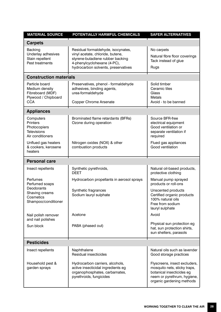| <b>MATERIAL SOURCE</b>                                                                    | POTENTIALLY HARMFUL CHEMICALS                                                                                                                                                    | <b>SAFER ALTERNATIVES</b>                                                                                                                              |  |  |
|-------------------------------------------------------------------------------------------|----------------------------------------------------------------------------------------------------------------------------------------------------------------------------------|--------------------------------------------------------------------------------------------------------------------------------------------------------|--|--|
| <b>Carpets</b>                                                                            |                                                                                                                                                                                  |                                                                                                                                                        |  |  |
| <b>Backing</b><br>Underlay adhesives<br>Stain repellent<br>Pest treatments                | Residual formaldehyde, isocynates,<br>vinyl acetate, chloride, butene,<br>styrene-butadiene rubber backing<br>4-phenylcyclohexane (4-PC),<br>hydrocarbon solvents, preservatives | No carpets<br>Natural fibre floor coverings<br>Tack instead of glue<br>Rugs                                                                            |  |  |
| <b>Construction materials</b>                                                             |                                                                                                                                                                                  |                                                                                                                                                        |  |  |
| Particle board<br>Medium density<br>Fibreboard (MDF)<br>Plywood / Chipboard<br><b>CCA</b> | Preservatives, phenol - formaldehyde<br>adhesives, binding agents,<br>urea-formaldehyde<br><b>Copper Chrome Arsenate</b>                                                         | Solid timber<br>Ceramic tiles<br>Glass<br>Metals<br>Avoid - to be banned                                                                               |  |  |
| <b>Appliances</b>                                                                         |                                                                                                                                                                                  |                                                                                                                                                        |  |  |
| Computers<br><b>Printers</b><br>Photocopiers<br><b>Televisions</b><br>Air conditioners    | Brominated flame retardants (BFRs)<br>Ozone during operation                                                                                                                     | Source BFR-free<br>electrical equipment<br>Good ventilation or<br>separate ventilation if<br>required                                                  |  |  |
| Unflued gas heaters<br>& cookers, kerosene<br>heaters                                     | Nitrogen oxides (NOX) & other<br>combustion products                                                                                                                             | Flued gas appliances<br>Good ventilation                                                                                                               |  |  |
| <b>Personal care</b>                                                                      |                                                                                                                                                                                  |                                                                                                                                                        |  |  |
| Insect repellents                                                                         | Synthetic pyrethroids,<br><b>DEET</b>                                                                                                                                            | Natural oil-based products,<br>protective clothing                                                                                                     |  |  |
| Perfumes<br>Perfumed soaps                                                                | Hydrocarbon propellants in aerosol sprays                                                                                                                                        | Manual pump sprayed<br>products or roll-ons                                                                                                            |  |  |
| Deodorants<br>Shaving creams<br>Cosmetics<br>Shampoo/conditioner                          | Synthetic fragrances<br>Sodium lauryl sulphate                                                                                                                                   | Unscented products<br>Certified organic products<br>100% natural oils<br>Free from sodium<br>lauryl sulphate                                           |  |  |
| Nail polish remover<br>and nail polishes                                                  | Acetone                                                                                                                                                                          | Avoid                                                                                                                                                  |  |  |
| Sun block                                                                                 | PABA (phased out)                                                                                                                                                                | Physical sun protection eg<br>hat, sun protection shirts,<br>sun shelters, parasols                                                                    |  |  |
| <b>Pesticides</b>                                                                         |                                                                                                                                                                                  |                                                                                                                                                        |  |  |
| Insect repellents                                                                         | Naphthalene<br>Residual insecticides                                                                                                                                             | Natural oils such as lavender<br>Good storage practices                                                                                                |  |  |
| Household pest &<br>garden sprays                                                         | Hydrocarbon carriers, alcohols,<br>active insecticidal ingredients eg<br>organophosphates, carbamates,<br>pyrethroids, fungicides                                                | Flyscreens, insect excluders,<br>mosquito nets, sticky traps,<br>botanical insecticides eg<br>neem or pyrethrum, hygiene,<br>organic gardening methods |  |  |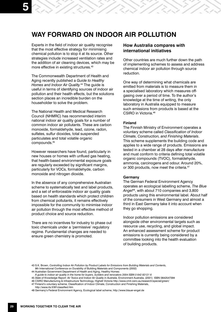# **WAY FORWARD ON INDOOR AIR POLLUTION**

Experts in the field of indoor air quality recognise that the most effective strategy for minimising chemical pollution is to stop it at its source. Other strategies include increased ventilation rates and the addition of air cleaning devices, which may be more effective in existing structures.<sup>43</sup>

The Commonwealth Department of Health and Aging recently published a *Guide to Healthy Homes and Indoor Air Quality.*44 The guide is useful in terms of identifying sources of indoor air pollution and their health effects, but the solutions section places an incredible burden on the householder to solve the problem.

The National Health and Medical Research Council (NHMRC) has recommended interim national indoor air quality goals for a number of common indoor air pollutants. These are carbon monoxide, formaldehyde, lead, ozone, radon, sulfates, sulfur dioxides, total suspended particulates and total volatile organic compounds.45

However researchers have found, particularly in new houses or homes with unflued gas heating, that health-based environmental exposure goals are regularly exceeded by significant margins, particularly for VOCs, formaldehyde, carbon monoxide and nitrogen dioxide.

In the absence of any comprehensive Australian scheme to systematically test and label products, and a set of enforceable indoor air quality goals based on health standards which protect children from chemical pollutants, it remains effectively impossible for the community to minimise indoor air pollution through the most effective method of product choice and source reduction.

There are no incentives for industry to phase out toxic chemicals under a 'permissive' regulatory regime. Fundamental changes are needed to ensure green chemistry is promoted.

#### **How Australia compares with international initiatives**

Other countries are much further down the path of implementing schemes to assess and address chemical indoor air pollution through source reduction.

One way of determining what chemicals are emitted from materials is to measure them in a specialised laboratory which measures offgasing over a period of time. To the author's knowledge at the time of writing, the only laboratory in Australia equipped to measure such emissions from products is based at the CSIRO in Victoria.46

#### **Finland**

The Finnish Ministry of Environment operates a voluntary scheme called *Classification of Indoor Climate, Construction, and Finishing Materials*. This scheme supplements the building code and applies to a wide range of products. Emissions are tested in a chamber at 28 days after manufacture and must conform to criteria defining total volatile organic compounds (TVOC), formaldehyde, ammonia, carcinogens and odour. Around 20%, or 300 products, now meet the criteria.<sup>47</sup>

#### **Germany**

The German Federal Environment Agency operates an ecological labelling scheme, *The Blue Angel48*, with about 710 companies and 3,800 products using this environmental label. About half of the consumers in West Germany and almost a third in East Germany take it into account when they go shopping.

Indoor pollution emissions are considered alongside other environmental targets such as resource use, recycling, and global impact. An enhanced assessment scheme for product emissions is currently being considered by a committee looking into the health evaluation of building products.

45 *State of Knowledge Report: Air Toxics and Indoor Air Quality in Australia*, Environment Australia, (2001) ISBN 0642547394

<sup>43</sup> S.K. Brown, *Controlling Indoor Air Pollution by Product Labels for Emissions from Building Materials and Contents,*  9th International Conference on Durability of Building Materials and Components (2002)

<sup>44</sup> Australian Government Department of Health and Aging, Healthy Homes:

*A guide to indoor air quality in the home for buyers, builders and renovators 2004 ISBN 0 642 82121 6*

<sup>46</sup> CSIRO Manufacturing & Infrastructure Technoilogy, Highett Victoria http://www.cmit.csiro.au/research/special/green/

<sup>47</sup> Finland's voluntary scheme, Classification of Indoor Climate, Construction and Finishing Materials,

http://www.rts.fi/M1classified.htm

<sup>48</sup> Germany's Federal Environment Agency, Ecological label scheme, http://www.blauer-engel.de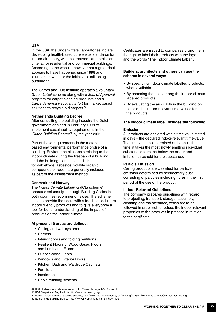#### **USA**

In the USA, the Underwriters Laboratories Inc are developing health-based consensus standards for indoor air quality, with test methods and emission criteria, for residential and commercial buildings. According to the website however not a great deal appears to have happened since 1998 and it is uncertain whether the initiative is still being pursued.49

The Carpet and Rug Institute operates a voluntary *Green Label* scheme along with a *Seal of Approval* program for carpet cleaning products and a *Carpet America Recovery Effort* for market based solutions to recycle old carpets.<sup>50</sup>

#### **Netherlands Building Decree**

After consulting the building industry the Dutch government decided in February 1998 to implement sustainability requirements in the *Dutch Building Decree*52 by the year 2001.

Part of these requirements is the materialbased environmental performance profile of a building. Environmental aspects relating to the indoor climate during the lifespan of a building and the building elements used, like formaldehyde, asbestos, volatile organic compounds or radon are generally included as part of the assessment method.

#### **Denmark and Norway**

The *Indoor Climate Labelling* (ICL) scheme<sup>51</sup> operates voluntarily, although Building Codes in both countries recommend its use. The scheme aims to provide the users with a tool to select more indoor friendly products and to give everybody a tool for better understanding of the impact of products on the indoor climate

#### **At present 10 areas are defined:**

- Ceiling and wall systems
- Carpets
- Interior doors and folding partitions
- Resilient Flooring, Wood-Based Floors and Laminated Floors
- Oils for Wood Floors
- Windows and Exterior Doors
- Kitchen, Bath and Wardrobe Cabinets
- Furniture
- Interior paint
- Cable trunking systems

Certificates are issued to companies giving them the right to label their products with the logo and the words "The Indoor Climate Label".

#### **Builders, architects and others can use the scheme in several ways:**

- By specifying indoor climate labelled products, when available
- By choosing the best among the indoor climate labelled products
- By evaluating the air quality in the building on basis of the indoor-relevant time-values for the products

#### **The indoor climate label includes the following:**

#### **Emission**

All products are declared with a time-value stated in days – the declared indoor-relevant time-value. The time-value is determined on basis of the time, it takes the most slowly emitting individual substances to reach below the odour and irritation threshold for the substance.

#### **Particle Emission**

Ceiling products are classified for particle emission determined by sedimentary dust consisting of particles including fibres in the first period of the use of the product.

#### **Indoor-Relevant Guidelines**

The company prepares guidelines with regard to projecting, transport, storage, assembly, cleaning and maintenance, which are to be followed in order not to reduce the indoor-relevant properties of the products in practice in relation to the certificate.

51 Danish Indoor Climate Labelling scheme, http://www.danishtechnology.dk/building/13268,1?hilite=Indoor%20Climate%20Labelling

52 Netherlands Building Decree, http://www2.vrom.nl/pagina.html?id=7439

<sup>49</sup> USA Underwriters Laboratories Inc. http://www.ul.com/eph/iaq/index.htm

<sup>50</sup> USA Carpet and Rug Institute http://www.carpet-rug.org/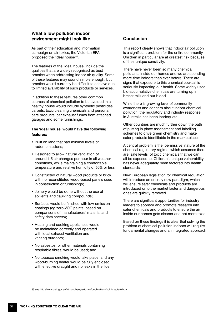## **What a low pollution indoor environment might look like Conclusion**

As part of their education and information campaign on air toxics, the Victorian EPA proposed the 'ideal house'<sup>53</sup>.

The features of the 'ideal house' include the qualities that are widely recognised as best practice when addressing indoor air quality. Some of these features may sound simple enough, but in practice would currently be difficult to achieve due to limited availability of such products or services.

In addition to these features other common sources of chemical pollution to be avoided in a healthy house would include synthetic pesticides, carpets, toxic cleaning chemicals and personal care products, car exhaust fumes from attached garages and some furnishings.

#### **The 'ideal house' would have the following features:**

- Built on land that had minimal levels of radon emissions;
- Designed to allow natural ventilation of around 1.5 air changes per hour in all weather conditions, while maintaining a comfortable temperature and relative humidity of 50% or less;
- Constructed of natural wood products or brick, with no reconstituted wood-based panels used in construction or furnishings;
- Joinery would be done without the use of solvents and caulking compounds;
- Surfaces would be finished with low-emission coatings (eg zero-VOC paints, based on comparisons of manufacturers' material and safety data sheets);
- Heating and cooking appliances would be maintained correctly and operated with local exhaust ventilation and venting outdoors;
- No asbestos, or other materials containing respirable fibres, would be used; and
- No tobacco smoking would take place, and any wood-burning heater would be fully enclosed, with effective draught and no leaks in the flue.

This report clearly shows that indoor air pollution is a significant problem for the entire community. Children in particular are at greatest risk because of their unique sensitivity.

There have never been so many chemical pollutants inside our homes and we are spending more time indoors than ever before. There are signs that exposure to this chemical cocktail is seriously impacting our health. Some widely used bio-accumulative chemicals are turning up in breast milk and our blood.

While there is growing level of community awareness and concern about indoor chemical pollution, the regulatory and industry response in Australia has been inadequate.

Other countries are much further down the path of putting in place assessment and labelling schemes to drive green chemistry and make safer products identifiable in the marketplace.

A central problem is the 'permissive' nature of the chemical regulatory regime, which assumes there are 'safe levels' of toxic chemicals that we can all be exposed to. Children's unique vulnerability has never adequately been factored into health standards.

New European legislation for chemical regulation will introduce an entirely new paradigm, which will ensure safer chemicals and products are introduced onto the market faster and dangerous ones are quickly removed.

There are significant opportunities for industry leaders to sponsor and promote research into safer chemicals and products to ensure the air inside our homes gets cleaner and not more toxic.

Based on these findings it is clear that solving the problem of chemical pollution indoors will require fundamental changes and an integrated approach.

53 see http://www.deh.gov.au/atmosphere/airtoxics/publications/sok/chapter9.html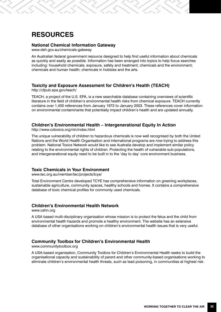# **RESOURCES**

#### **National Chemical Information Gateway**

www.deh.gov.au/chemicals-gateway

An Australian federal government resource designed to help find useful information about chemicals as quickly and easily as possible. Information has been arranged into topics to help focus searches including: household chemicals; exposure, safety and treatment; chemicals and the environment; chemicals and human health; chemicals in hobbies and the arts.

#### **Toxicity and Exposure Assessment for Children's Health (TEACH)**

http://cfpub.epa.gov/teach/

TEACH, a project of the U.S. EPA, is a new searchable database containing overviews of scientific literature in the field of children's environmental health risks from chemical exposure. TEACH currently contains over 1,400 references from January 1972 to January 2003. These references cover information on environmental contaminants that potentially impact children's health and are updated annually.

#### **Children's Environmental Health – Intergenerational Equity In Action**

http://www.oztoxics.org/ntn/index.html

The unique vulnerability of children to hazardous chemicals is now well recognised by both the United Nations and the World Health Organisation and international programs are now trying to address this problem. National Toxics Network would like to see Australia develop and implement similar policy relating to the environmental rights of children. Protecting the health of vulnerable sub-populations, and intergenerational equity need to be built in to the 'day to day' core environment business.

#### **Toxic Chemicals in Your Environment**

www.tec.org.au/member/tec/projects/tcye/

Total Environment Centre developed TCYE has comprehensive information on greening workplaces, sustainable agriculture, community spaces, healthy schools and homes. It contains a comprehensive database of toxic chemical profiles for commonly used chemicals.

#### **Children's Environmental Health Network**

www.cehn.org

A USA based multi-disciplinary organisation whose mission is to protect the fetus and the child from environmental health hazards and promote a healthy environment. The website has an extensive database of other organisations working on children's environmental health issues that is very useful.

### **Community Toolbox for Children's Environmental Health**

www.communitytoolbox.org

A USA-based organisation, Community Toolbox for Children's Environmental Health seeks to build the organisational capacity and sustainability of parent and other community-based organisations working to eliminate children's environmental health threats, such as lead poisoning, in communities at highest risk.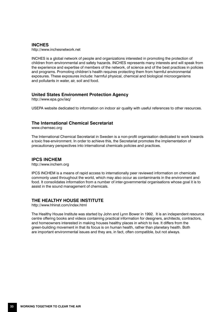#### **INCHES**

http://www.inchesnetwork.net

INCHES is a global network of people and organizations interested in promoting the protection of children from environmental and safety hazards. INCHES represents many interests and will speak from the experience and expertise of members of the network, of science and of the best practices in policies and programs. Promoting children's health requires protecting them from harmful environmental exposures. These exposures include: harmful physical, chemical and biological microorganisms and pollutants in water, air, soil and food.

#### **United States Environment Protection Agency**

http://www.epa.gov/iaq/

USEPA website dedicated to information on indoor air quality with useful references to other resources.

#### **The International Chemical Secretariat**

www.chemsec.org

The International Chemical Secretariat in Sweden is a non-profit organisation dedicated to work towards a toxic free-environment. In order to achieve this, the Secretariat promotes the implementation of precautionary perspectives into international chemicals policies and practices.

#### **IPCS INCHEM**

http://www.inchem.org

IPCS INCHEM is a means of rapid access to internationally peer reviewed information on chemicals commonly used throughout the world, which may also occur as contaminants in the environment and food. It consolidates information from a number of inter-governmental organisations whose goal it is to assist in the sound management of chemicals.

#### **THE HEALTHY HOUSE INSTITUTE**

http://www.hhinst.com/index.html

The Healthy House Institute was started by John and Lynn Bower in 1992. It is an independent resource centre offering books and videos containing practical information for designers, architects, contractors, and homeowners interested in making houses healthy places in which to live. It differs from the green-building movement in that its focus is on human health, rather than planetary health. Both are important environmental issues and they are, in fact, often compatible, but not always.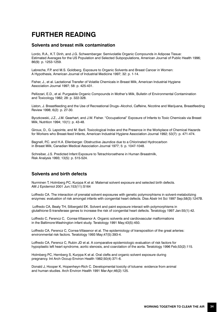# **FURTHER READING**

#### **Solvents and breast milk contamination**

Lordo, R.A., K.T. Dinh, and J.G. Schwemberger. Semivolatile Organic Compounds in Adipose Tissue: Estimated Averages for the US Population and Selected Subpopulations, American Journal of Public Health 1996; 86(9): p. 1253-1259.

Labreche, F.P. and M.S. Goldberg. Exposure to Organic Solvents and Breast Cancer in Women: A Hypothesis, American Journal of Industrial Medicine 1997; 32: p. 1-14.

Fisher, J., et al. Lactational Transfer of Volatile Chemicals in Breast Milk, American Industrial Hygiene Association Journal 1997; 58: p. 425-431.

Pellizzari, E.D., et al. Purgeable Organic Compounds in Mother's Milk, Bulletin of Environmental Contamination and Toxicology 1982; 28: p. 322-328.

Liston, J. Breastfeeding and the Use of Recreational Drugs--Alcohol, Caffeine, Nicotine and Marijuana, Breastfeeding Review 1998; 6(2): p. 27-30.

Byczkowski, J.Z., J.M. Gearhart, and J.W. Fisher. "Occupational" Exposure of Infants to Toxic Chemicals via Breast Milk, Nutrition 1994; 10(1): p. 43-48.

Giroux, D., G. Lapointe, and M. Baril. Toxicological Index and the Presence in the Workplace of Chemical Hazards for Workers who Breast-feed Infants, American Industrial Hygiene Association Journal 1992; 53(7): p. 471-474.

Bagnell, P.C. and H.A. Ellenberger. Obstructive Jaundice due to a Chlorinated Hydrocarbon in Breast Milk, Canadian Medical Association Journal 1977; 5: p. 1047-1048.

Schreiber, J.S. Predicted Infant Exposure to Tetrachloroethene in Human Breastmilk, Risk Analysis 1993; 13(5): p. 515-524.

#### **Solvents and birth defects**

Nurminen T, Holmberg PC, Kurppa K et al. Maternal solvent exposure and selected birth defects. AM J Epidemiol 2001 Jun;153(11):S164

Loffredo CA. The interaction of prenatal solvent exposures with genetic polymorphisms in solvent-metabolizing enzymes: evaluation of risk amongst infants with congenital heart defects. Diss Abstr Int Sci 1997 Sep;58(3):1247B.

 Loffredo CA, Beaty TH, Silbergeld EK. Solvent and paint exposure interact with polymorphisms in glutathione-S-transferase genes to increase the risk of congenital heart defects. Teratology 1997 Jan:55(1):42.

Loffredo C, Ferencz C, Correa-Villasenor A. Organic solvents and cardiovascular malformations in the Baltimore-Washington infant study. Teratology 1991 May;43(5):450.

Loffredo CA, Ferencz C, Correa-Villasenor et al. The epidemiology of transposition of the great arteries: environmental risk factors. Teratology 1993 May;47(5):393-4.

Loffredo CA, Ferencz C, Rubin JD et al. A comparative epidemiologic evaluation of risk factors for hypoplastic left heart syndrome, aortic stenosis, and coarctation of the aorta. Teratology 1996 Feb;53(2):115.

Holmberg PC, Hernberg S, Kurppa K et al. Oral clefts and organic solvent exposure during pregnancy. Int Arch Occup Environ Health 1982;50(4):371-6.

Donald J, Hooper K, Hopenheyn-Rich C. Developmental toxicity of toluene: evidence from animal and human studies. Arch Environ Health 1991 Mar-Apr;46(2):125.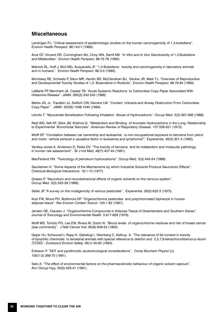# **Miscellaneous**

Landrigan PJ. "Critical assessment of epidemiologic studies on the human carcinogenicity of 1,3-butadiene". Environ Health Perspect. 86:143-7 (1990).

Arce GT, Vincent DR, Cunningham MJ, Choy WN, Sarrif AM. *"In Vitro and In Vivo* Genotoxicity of 1,3-Butadiene and Metabolites". *Environ Health Perspect.* 86:75-78 (1990).

Melnick RL, Huff J, Bird MG, Acquavella JF. "1,3-Butadiene: toxicity and carcinogenicity in laboratory animals and in humans". *Environ Health Perspect.* 86:3-5 (1990).

Morrissey RE, Schwetz P, Sikov MR, Hardin BD, McClanahan BJ, Decker JR, Mast TJ. "Overview of Reproductive and Developmental Toxicity Studies of 1,3- Butandiene in Rodents". *Environ Health Perspect.* 86:79-84 (1990).

LaMarte FP, Merchant JA, Casale TB. "Acute Systemic Reactions to Carbonless Copy Paper Associated With Histamine Release". *JAMA*. 260(2):242-243 (1988).

Marks JG, Jr., Trautlein JJ, Zwillich CW, Demers LM. "Contact Urticaria and Airway Obstruction From Carbonless Copy Paper". *JAMA*. 252(8):1038-1040 (1984).

Litovitz T. "Myocardial Sensitization Following Inhalation Abuse of Hydrocarbons". *Occup* Med. 3(3):567-568 (1988).

Reid WD, Ilett KF, Glick JM, Krishna G. "Metabolism and Binding of Aromatic Hydrocarbons in the Lung: Relationship to Experimental Bronchiolar Necrosis". *American Review of Respiratory Disease*. 107:539-551 (1973).

Wolff SP. "Correlation between car ownership and leukaemia: is non-occupational exposure to benzene from petrol and motor vehicle exhaust a causative factor in leukaemia and lymphoma?". Experientia. 48(3):301-4 (1992).

Yardley-Jones A, Anderson D, Parke DV. "The toxicity of benzene and its metabolism and molecular pathology in human risk assessment". Br J Ind Med. 48(7):437-44 (1991).

MacFarland HN. "Toxicology of petroleum hydrocarbons". Occup Med. 3(3):445-54 (1988).

Savolainen H. "Some Aspects of the Mechanisms by which Industrial Solvents Produce Neurotoxic Effects". *Chemical-Biological Interactions.* 18:1-10 (1977).

Grasso P. "Neurotoxic and neurobehavioral effects of organic solvents on the nervous system". Occup Med. 3(3):525-39 (1988).

Seiler JP. "A survey on the mutagenicity of various pesticides". Experientia. 29(5):622-3 (1973).

Kutz FW, Wood PH, Bottimore DP. "Organochlorine pesticides and polychlorinated biphenyls in human adipose tissue". *Rev Environ Contam Toxicol.* 120:1-82 (1991).

Jensen GE, Clausen J. "Organochlorine Compounds in Adipose Tissue of Greenlanders and Southern Danes". *Journal of Toxicology and Environmental Health.* 5:617-629 (1979).

Wolff MS, Toniolo PG, Lee EW, Rivera M, Dubin N. "Blood levels of organochlorine residues and risk of breast cancer [see comments]". J Natl Cancer Inst. 85(8):648-52 (1993).

Geyer HJ, Scheunert I, Rapp K, Gebefugi I, Steinberg C, Kettrup A. "The relevance of fat content in toxicity of lipophilic chemicals to terrestrial animals with special reference to dieldrin and 2,3,7,8-tetrachlorodibenzo-p-dioxin (TCDD)". *Ecotoxicol Environ Safety.* 26(1):45-60 (1993).

Eriksson P. "DDT and pyrethroids--ecotoxicological considerations". *Comp Biochem Physiol* [c]. 100(1-2):269-70 (1991).

Sato A. "The effect of environmental factors on the pharmacokinetic behaviour of organic solvent vapours". Ann Occup Hyg. 35(5):525-41 (1991).